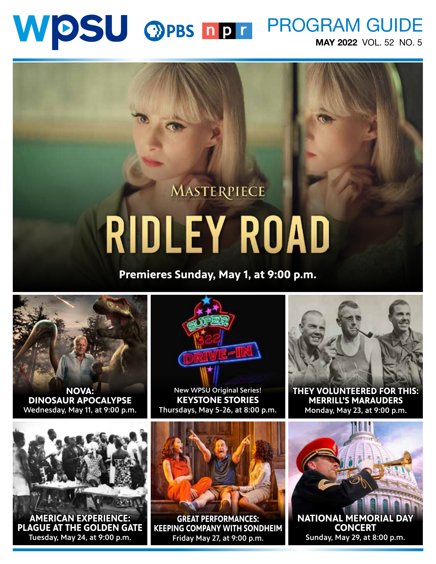# WDSU OPBS NDT PROGRAM GUIDE MAY 2022 VOL. 52 NO. 5

# MASTERPIECE **RIDLEY ROAD**

**Premieres Sunday, May 1, at 9:00 p.m.**



**NOVA: DINOSAUR APOCALYPSE** Wednesday, May 11, at 9:00 p.m.



 New WPSU Original Series!**KEYSTONE STORIES** Thursdays, May 5-26, at 8:00 p.m.



**THEY VOLUNTEERED FOR THIS: MERRILL'S MARAUDERS** Monday, May 23, at 9:00 p.m.



**AMERICAN EXPERIENCE: PLAGUE AT THE GOLDEN GATE** Tuesday, May 24, at 9:00 p.m.



**GREAT PERFORMANCES: KEEPING COMPANY WITH SONDHEIM**  Friday May 27, at 9:00 p.m.

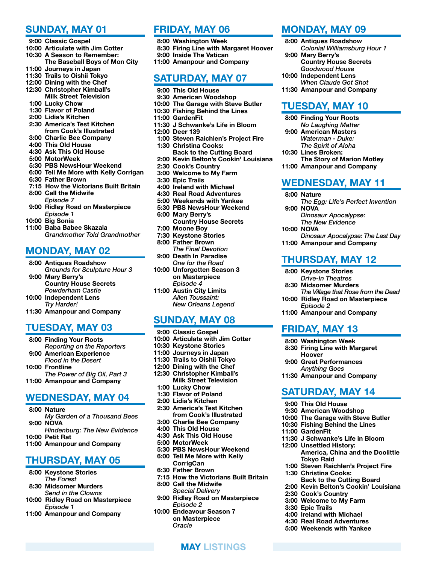#### SUNDAY, MAY 01

- 9:00 Classic Gospel
- 10:00 Articulate with Jim Cotter
- 10:30 A Season to Remember: The Baseball Boys of Mon City
- 11:00 Journeys in Japan
- 11:30 Trails to Oishii Tokyo
- 12:00 Dining with the Chef 12:30 Christopher Kimball's
- Milk Street Television
- 1:00 Lucky Chow
- 1:30 Flavor of Poland
- 2:00 Lidia's Kitchen
- 2:30 America's Test Kitchen from Cook's Illustrated
- 3:00 Charlie Bee Company
- 4:00 This Old House
- 4:30 Ask This Old House
- 5:00 MotorWeek
- 5:30 PBS NewsHour Weekend
- 6:00 Tell Me More with Kelly Corrigan
- 6:30 Father Brown
- 7:15 How the Victorians Built Britain 8:00 Call the Midwife *Episode 7*
- 9:00 Ridley Road on Masterpiece *Episode 1*
- 10:00 Big Sonia
- 11:00 Baba Babee Skazala *Grandmother Told Grandmother*

#### MONDAY, MAY 02

- 8:00 Antiques Roadshow
- *Grounds for Sculpture Hour 3* 9:00 Mary Berry's
- Country House Secrets *Powderham Castle*
- 10:00 Independent Lens *Try Harder!*
- 11:30 Amanpour and Company

#### TUESDAY, MAY 03

- 8:00 Finding Your Roots *Reporting on the Reporters*
- 9:00 American Experience
- *Flood in the Desert* 10:00 Frontline
- *The Power of Big Oil, Part 3* 11:00 Amanpour and Company

#### WEDNESDAY, MAY 04

- 8:00 Nature
- *My Garden of a Thousand Bees* 9:00 NOVA
- *Hindenburg: The New Evidence*
- 10:00 Petit Rat 11:00 Amanpour and Company

### THURSDAY, MAY 05

- 8:00 Keystone Stories *The Forest*
- 8:30 Midsomer Murders *Send in the Clowns*
- 10:00 Ridley Road on Masterpiece *Episode 1*
- 11:00 Amanpour and Company

#### FRIDAY, MAY 06

- 8:00 Washington Week
- 8:30 Firing Line with Margaret Hoover
- 9:00 Inside The Vatican
- 11:00 Amanpour and Company

#### SATURDAY, MAY 07

- 9:00 This Old House
- 9:30 American Woodshop
- 10:00 The Garage with Steve Butler
- 10:30 Fishing Behind the Lines
- 11:00 GardenFit
- 11:30 J Schwanke's Life in Bloom
- 12:00 Deer 139
	- 1:00 Steven Raichlen's Project Fire 1:30 Christina Cooks:
	- Back to the Cutting Board
	- 2:00 Kevin Belton's Cookin' Louisiana
	- 2:30 Cook's Country
	- 3:00 Welcome to My Farm
	- 3:30 Epic Trails
	- 4:00 Ireland with Michael
	- 4:30 Real Road Adventures
	- 5:00 Weekends with Yankee
	- 5:30 PBS NewsHour Weekend
	- 6:00 Mary Berry's Country House Secrets
	- 7:00 Moone Boy
	- 7:30 Keystone Stories
	- 8:00 Father Brown
	- *The Final Devotion* 9:00 Death In Paradise
- *One for the Road* 10:00 Unforgotten Season 3 on Masterpiece
- *Episode 4* 11:00 Austin City Limits
- *Allen Toussaint: New Orleans Legend*

### SUNDAY, MAY 08

- 9:00 Classic Gospel
- 10:00 Articulate with Jim Cotter
- 10:30 Keystone Stories
- 11:00 Journeys in Japan
- 11:30 Trails to Oishii Tokyo
- 12:00 Dining with the Chef 12:30 Christopher Kimball's Milk Street Television
- 1:00 Lucky Chow
- 1:30 Flavor of Poland
- 2:00 Lidia's Kitchen
- 2:30 America's Test Kitchen from Cook's Illustrated
- 3:00 Charlie Bee Company 4:00 This Old House
- 4:30 Ask This Old House
- 5:00 MotorWeek
- 5:30 PBS NewsHour Weekend
- 6:00 Tell Me More with Kelly
- CorrigCan
- 6:30 Father Brown
- 7:15 How the Victorians Built Britain 8:00 Call the Midwife *Special Delivery*

MAY LISTINGS

- 9:00 Ridley Road on Masterpiece *Episode 2*
- 10:00 Endeavour Season 7 on Masterpiece *Oracle*

#### MONDAY, MAY 09

- 8:00 Antiques Roadshow *Colonial Williamsburg Hour 1*
- 9:00 Mary Berry's Country House Secrets *Goodwood House*

11:30 Amanpour and Company

The Story of Marion Motley

*The Egg: Life's Perfect Invention*

*Dinosaur Apocalypse: The Last Day*

*The Village that Rose from the Dead*

11:00 Amanpour and Company

WEDNESDAY, MAY 11

*Dinosaur Apocalypse: The New Evidence*

11:00 Amanpour and Company

THURSDAY, MAY 12

10:00 Ridley Road on Masterpiece

11:00 Amanpour and Company

SATURDAY, MAY 14

11:30 J Schwanke's Life in Bloom

1:00 Steven Raichlen's Project Fire

Back to the Cutting Board 2:00 Kevin Belton's Cookin' Louisiana

America, China and the Doolittle

 8:00 Keystone Stories *Drive-In Theatres* 8:30 Midsomer Murders

*Episode 2*

FRIDAY, MAY 13 8:00 Washington Week 8:30 Firing Line with Margaret

Hoover 9:00 Great Performances *Anything Goes* 11:30 Amanpour and Company

 9:00 This Old House 9:30 American Woodshop 10:00 The Garage with Steve Butler 10:30 Fishing Behind the Lines

12:00 Unsettled History:

Tokyo Raid

1:30 Christina Cooks:

 2:30 Cook's Country 3:00 Welcome to My Farm

 4:00 Ireland with Michael 4:30 Real Road Adventures 5:00 Weekends with Yankee

3:30 Epic Trails

11:00 GardenFit

TUESDAY, MAY 10 8:00 Finding Your Roots *No Laughing Matter* 9:00 American Masters *Waterman - Duke: The Spirit of Aloha*

10:30 Lines Broken:

8:00 Nature

9:00 NOVA

10:00 NOVA

10:00 Independent Lens *When Claude Got Shot*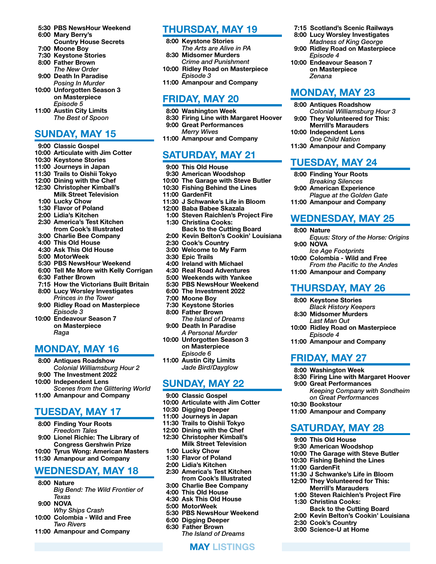- 5:30 PBS NewsHour Weekend 6:00 Mary Berry's
- Country House Secrets 7:00 Moone Boy
- 
- 7:30 Keystone Stories 8:00 Father Brown
- *The New Order*
- 9:00 Death In Paradise *Posing In Murder*
- 10:00 Unforgotten Season 3 on Masterpiece
- *Episode 5* 11:00 Austin City Limits
- *The Best of Spoon*

#### SUNDAY, MAY 15

- 9:00 Classic Gospel
- 10:00 Articulate with Jim Cotter 10:30 Keystone Stories
- 11:00 Journeys in Japan
- 11:30 Trails to Oishii Tokyo 12:00 Dining with the Chef
- 12:30 Christopher Kimball's
- Milk Street Television
- 1:00 Lucky Chow
- 1:30 Flavor of Poland
- 2:00 Lidia's Kitchen
- 2:30 America's Test Kitchen from Cook's Illustrated
- 3:00 Charlie Bee Company
- 4:00 This Old House
- 4:30 Ask This Old House
- 5:00 MotorWeek
- 5:30 PBS NewsHour Weekend
- 6:00 Tell Me More with Kelly Corrigan
- 6:30 Father Brown
- 7:15 How the Victorians Built Britain 8:00 Lucy Worsley Investigates
- *Princes in the Tower* 9:00 Ridley Road on Masterpiece *Episode 3*
- 10:00 Endeavour Season 7 on Masterpiece *Raga*

### MONDAY, MAY 16

- 8:00 Antiques Roadshow
- *Colonial Williamsburg Hour 2* 9:00 The Investment 2022
- 10:00 Independent Lens
- *Scenes from the Glittering World* 11:00 Amanpour and Company

#### TUESDAY, MAY 17

- 8:00 Finding Your Roots *Freedom Tales* 9:00 Lionel Richie: The Library of
- Congress Gershwin Prize 10:00 Tyrus Wong: American Masters
- 11:30 Amanpour and Company

#### WEDNESDAY, MAY 18

- 8:00 Nature *Big Bend: The Wild Frontier of Texas*
- 9:00 NOVA
- *Why Ships Crash*
- 10:00 Colombia Wild and Free *Two Rivers*
- 11:00 Amanpour and Company

#### THURSDAY, MAY 19

 7:15 Scotland's Scenic Railways 8:00 Lucy Worsley Investigates *Madness of King George* 9:00 Ridley Road on Masterpiece

*Episode 4* 10:00 Endeavour Season 7 on Masterpiece

*Zenana*

MONDAY, MAY 23 8:00 Antiques Roadshow

TUESDAY, MAY 24 8:00 Finding Your Roots *Breaking Silences* 9:00 American Experience

*Colonial Williamsburg Hour 3* 9:00 They Volunteered for This: Merrill's Marauders 10:00 Independent Lens *One Child Nation* 11:30 Amanpour and Company

*Plague at the Golden Gate* 11:00 Amanpour and Company

*Equus: Story of the Horse: Origins*

*From the Pacific to the Andes*

WEDNESDAY, MAY 25

*Ice Age Footprints* 10:00 Colombia - Wild and Free

11:00 Amanpour and Company

THURSDAY, MAY 26

*Black History Keepers* 8:30 Midsomer Murders *Last Man Out*

10:00 Ridley Road on Masterpiece

8:30 Firing Line with Margaret Hoover

*on Great Performances*

11:00 Amanpour and Company

SATURDAY, MAY 28

11:30 J Schwanke's Life in Bloom 12:00 They Volunteered for This: Merrill's Marauders 1:00 Steven Raichlen's Project Fire

Back to the Cutting Board 2:00 Kevin Belton's Cookin' Louisiana

 9:00 This Old House 9:30 American Woodshop 10:00 The Garage with Steve Butler 10:30 Fishing Behind the Lines

1:30 Christina Cooks:

 2:30 Cook's Country 3:00 Science-U at Home

*Keeping Company with Sondheim* 

11:00 Amanpour and Company

8:00 Keystone Stories

*Episode 4*

FRIDAY, MAY 27 8:00 Washington Week

9:00 Great Performances

10:30 Bookstour

11:00 GardenFit

8:00 Nature

9:00 NOVA

- 8:00 Keystone Stories *The Arts are Alive in PA* 8:30 Midsomer Murders
- *Crime and Punishment*
- 10:00 Ridley Road on Masterpiece *Episode 3*
- 11:00 Amanpour and Company

#### FRIDAY, MAY 20

- 8:00 Washington Week
- 8:30 Firing Line with Margaret Hoover 9:00 Great Performances
	- *Merry Wives*
- 11:00 Amanpour and Company

# SATURDAY, MAY 21

- 9:00 This Old House
- 9:30 American Woodshop
- 10:00 The Garage with Steve Butler
- 10:30 Fishing Behind the Lines
- 11:00 GardenFit
- 11:30 J Schwanke's Life in Bloom
- 12:00 Baba Babee Skazala
- 1:00 Steven Raichlen's Project Fire 1:30 Christina Cooks:
- Back to the Cutting Board
- 2:00 Kevin Belton's Cookin' Louisiana
- 2:30 Cook's Country
- 3:00 Welcome to My Farm
- 3:30 Epic Trails
- 4:00 Ireland with Michael
- 4:30 Real Road Adventures
- 5:00 Weekends with Yankee
- 5:30 PBS NewsHour Weekend
- 6:00 The Investment 2022
- 7:00 Moone Boy
- 7:30 Keystone Stories
- 8:00 Father Brown *The Island of Dreams*
- 9:00 Death In Paradise *A Personal Murder*
- 10:00 Unforgotten Season 3 on Masterpiece *Episode 6*
- 11:00 Austin City Limits *Jade Bird/Dayglow*

#### SUNDAY, MAY 22

- 9:00 Classic Gospel
- 10:00 Articulate with Jim Cotter
- 10:30 Digging Deeper
- 11:00 Journeys in Japan
- 11:30 Trails to Oishii Tokyo
- 12:00 Dining with the Chef
- 12:30 Christopher Kimball's Milk Street Television
- 1:00 Lucky Chow
- 1:30 Flavor of Poland
- 2:00 Lidia's Kitchen
- 2:30 America's Test Kitchen
- from Cook's Illustrated 3:00 Charlie Bee Company
- 4:00 This Old House
- 4:30 Ask This Old House
- 5:00 MotorWeek
- 5:30 PBS NewsHour Weekend
- 6:00 Digging Deeper
- 6:30 Father Brown
	- *The Island of Dreams*

MAY LISTINGS